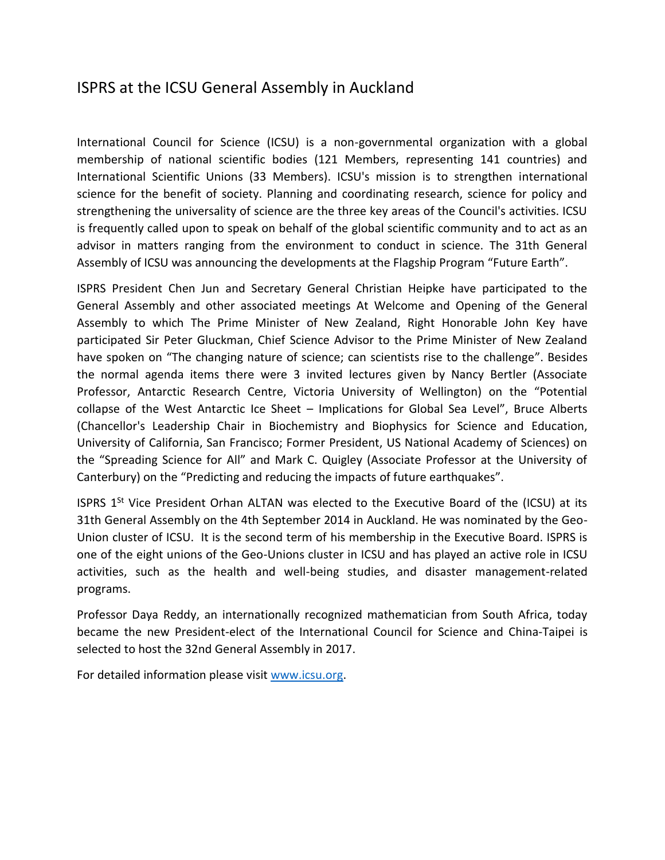## ISPRS at the ICSU General Assembly in Auckland

International Council for Science (ICSU) is a non-governmental organization with a global membership of national scientific bodies (121 Members, representing 141 countries) and International Scientific Unions (33 Members). ICSU's mission is to strengthen international science for the benefit of society. Planning and coordinating research, science for policy and strengthening the universality of science are the three key areas of the Council's activities. ICSU is frequently called upon to speak on behalf of the global scientific community and to act as an advisor in matters ranging from the environment to conduct in science. The 31th General Assembly of ICSU was announcing the developments at the Flagship Program "Future Earth".

ISPRS President Chen Jun and Secretary General Christian Heipke have participated to the General Assembly and other associated meetings At Welcome and Opening of the General Assembly to which The Prime Minister of New Zealand, Right Honorable John Key have participated Sir Peter Gluckman, Chief Science Advisor to the Prime Minister of New Zealand have spoken on "The changing nature of science; can scientists rise to the challenge". Besides the normal agenda items there were 3 invited lectures given by Nancy Bertler (Associate Professor, Antarctic Research Centre, Victoria University of Wellington) on the "Potential collapse of the West Antarctic Ice Sheet – Implications for Global Sea Level", Bruce Alberts (Chancellor's Leadership Chair in Biochemistry and Biophysics for Science and Education, University of California, San Francisco; Former President, US National Academy of Sciences) on the "Spreading Science for All" and Mark C. Quigley (Associate Professor at the University of Canterbury) on the "Predicting and reducing the impacts of future earthquakes".

ISPRS  $1<sup>St</sup>$  Vice President Orhan ALTAN was elected to the Executive Board of the (ICSU) at its 31th General Assembly on the 4th September 2014 in Auckland. He was nominated by the Geo-Union cluster of ICSU. It is the second term of his membership in the Executive Board. ISPRS is one of the eight unions of the Geo-Unions cluster in ICSU and has played an active role in ICSU activities, such as the health and well-being studies, and disaster management-related programs.

Professor Daya Reddy, an internationally recognized mathematician from South Africa, today became the new President-elect of the International Council for Science and China-Taipei is selected to host the 32nd General Assembly in 2017.

For detailed information please visit [www.icsu.org.](http://www.icsu.org/)